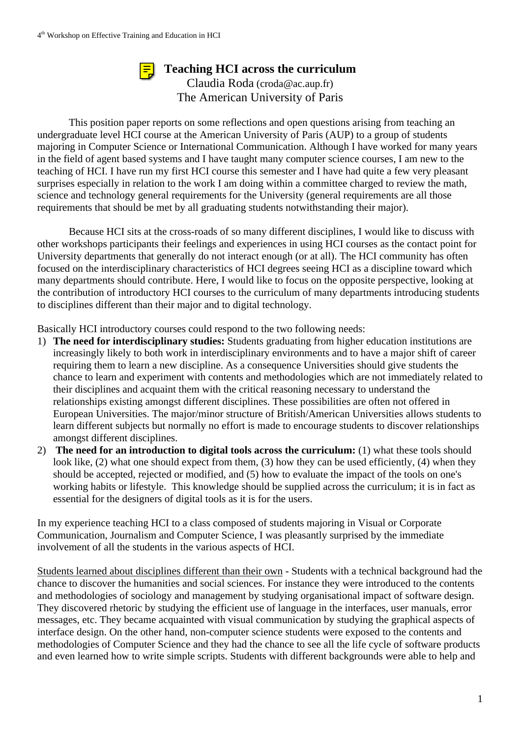## **Teaching HCI across the curriculum**



Claudia Roda (croda@ac.aup.fr) The American University of Paris

This position paper reports on some reflections and open questions arising from teaching an undergraduate level HCI course at the American University of Paris (AUP) to a group of students majoring in Computer Science or International Communication. Although I have worked for many years in the field of agent based systems and I have taught many computer science courses, I am new to the teaching of HCI. I have run my first HCI course this semester and I have had quite a few very pleasant surprises especially in relation to the work I am doing within a committee charged to review the math, science and technology general requirements for the University (general requirements are all those requirements that should be met by all graduating students notwithstanding their major).

Because HCI sits at the cross-roads of so many different disciplines, I would like to discuss with other workshops participants their feelings and experiences in using HCI courses as the contact point for University departments that generally do not interact enough (or at all). The HCI community has often focused on the interdisciplinary characteristics of HCI degrees seeing HCI as a discipline toward which many departments should contribute. Here, I would like to focus on the opposite perspective, looking at the contribution of introductory HCI courses to the curriculum of many departments introducing students to disciplines different than their major and to digital technology.

Basically HCI introductory courses could respond to the two following needs:

- 1) **The need for interdisciplinary studies:** Students graduating from higher education institutions are increasingly likely to both work in interdisciplinary environments and to have a major shift of career requiring them to learn a new discipline. As a consequence Universities should give students the chance to learn and experiment with contents and methodologies which are not immediately related to their disciplines and acquaint them with the critical reasoning necessary to understand the relationships existing amongst different disciplines. These possibilities are often not offered in European Universities. The major/minor structure of British/American Universities allows students to learn different subjects but normally no effort is made to encourage students to discover relationships amongst different disciplines.
- 2) **The need for an introduction to digital tools across the curriculum:** (1) what these tools should look like, (2) what one should expect from them, (3) how they can be used efficiently, (4) when they should be accepted, rejected or modified, and (5) how to evaluate the impact of the tools on one's working habits or lifestyle. This knowledge should be supplied across the curriculum; it is in fact as essential for the designers of digital tools as it is for the users.

In my experience teaching HCI to a class composed of students majoring in Visual or Corporate Communication, Journalism and Computer Science, I was pleasantly surprised by the immediate involvement of all the students in the various aspects of HCI.

Students learned about disciplines different than their own - Students with a technical background had the chance to discover the humanities and social sciences. For instance they were introduced to the contents and methodologies of sociology and management by studying organisational impact of software design. They discovered rhetoric by studying the efficient use of language in the interfaces, user manuals, error messages, etc. They became acquainted with visual communication by studying the graphical aspects of interface design. On the other hand, non-computer science students were exposed to the contents and methodologies of Computer Science and they had the chance to see all the life cycle of software products and even learned how to write simple scripts. Students with different backgrounds were able to help and